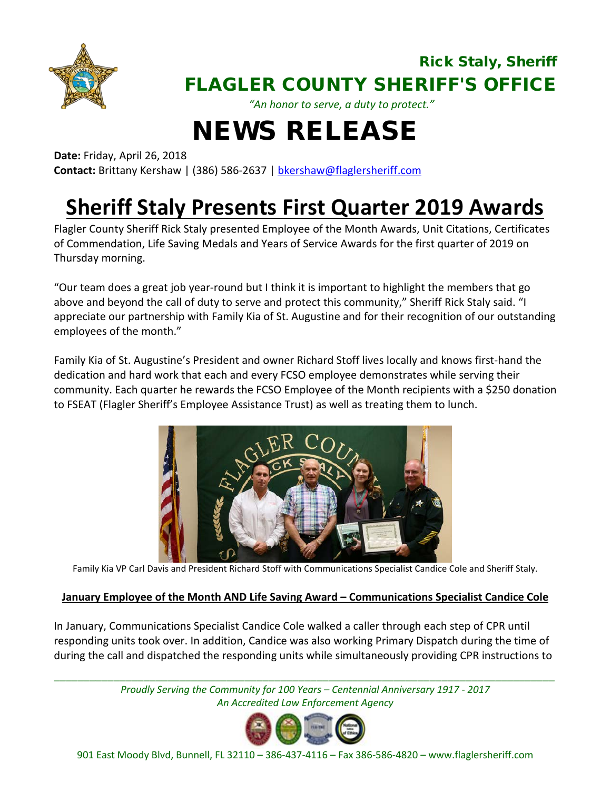

### Rick Staly, Sheriff FLAGLER COUNTY SHERIFF'S OFFICE

*"An honor to serve, a duty to protect."*

# NEWS RELEASE

**Date:** Friday, April 26, 2018

**Contact:** Brittany Kershaw | (386) 586-2637 | [bkershaw@flaglersheriff.com](mailto:bkershaw@flaglersheriff.com)

## **Sheriff Staly Presents First Quarter 2019 Awards**

Flagler County Sheriff Rick Staly presented Employee of the Month Awards, Unit Citations, Certificates of Commendation, Life Saving Medals and Years of Service Awards for the first quarter of 2019 on Thursday morning.

"Our team does a great job year-round but I think it is important to highlight the members that go above and beyond the call of duty to serve and protect this community," Sheriff Rick Staly said. "I appreciate our partnership with Family Kia of St. Augustine and for their recognition of our outstanding employees of the month."

Family Kia of St. Augustine's President and owner Richard Stoff lives locally and knows first-hand the dedication and hard work that each and every FCSO employee demonstrates while serving their community. Each quarter he rewards the FCSO Employee of the Month recipients with a \$250 donation to FSEAT (Flagler Sheriff's Employee Assistance Trust) as well as treating them to lunch.



Family Kia VP Carl Davis and President Richard Stoff with Communications Specialist Candice Cole and Sheriff Staly.

#### **January Employee of the Month AND Life Saving Award – Communications Specialist Candice Cole**

In January, Communications Specialist Candice Cole walked a caller through each step of CPR until responding units took over. In addition, Candice was also working Primary Dispatch during the time of during the call and dispatched the responding units while simultaneously providing CPR instructions to

*\_\_\_\_\_\_\_\_\_\_\_\_\_\_\_\_\_\_\_\_\_\_\_\_\_\_\_\_\_\_\_\_\_\_\_\_\_\_\_\_\_\_\_\_\_\_\_\_\_\_\_\_\_\_\_\_\_\_\_\_\_\_\_\_\_\_\_\_\_\_\_\_\_\_\_\_\_\_\_\_\_\_\_\_ Proudly Serving the Community for 100 Years – Centennial Anniversary 1917 - 2017 An Accredited Law Enforcement Agency*

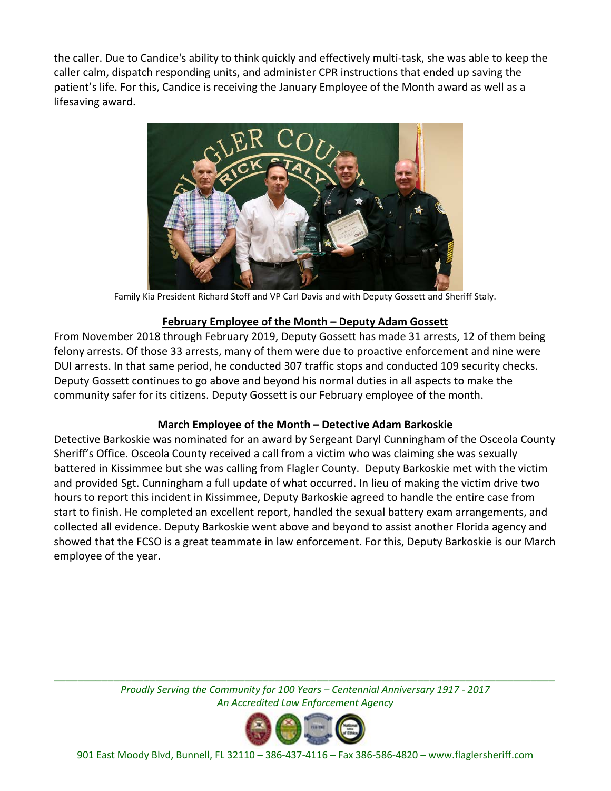the caller. Due to Candice's ability to think quickly and effectively multi-task, she was able to keep the caller calm, dispatch responding units, and administer CPR instructions that ended up saving the patient's life. For this, Candice is receiving the January Employee of the Month award as well as a lifesaving award.



Family Kia President Richard Stoff and VP Carl Davis and with Deputy Gossett and Sheriff Staly.

#### **February Employee of the Month – Deputy Adam Gossett**

From November 2018 through February 2019, Deputy Gossett has made 31 arrests, 12 of them being felony arrests. Of those 33 arrests, many of them were due to proactive enforcement and nine were DUI arrests. In that same period, he conducted 307 traffic stops and conducted 109 security checks. Deputy Gossett continues to go above and beyond his normal duties in all aspects to make the community safer for its citizens. Deputy Gossett is our February employee of the month.

#### **March Employee of the Month – Detective Adam Barkoskie**

Detective Barkoskie was nominated for an award by Sergeant Daryl Cunningham of the Osceola County Sheriff's Office. Osceola County received a call from a victim who was claiming she was sexually battered in Kissimmee but she was calling from Flagler County. Deputy Barkoskie met with the victim and provided Sgt. Cunningham a full update of what occurred. In lieu of making the victim drive two hours to report this incident in Kissimmee, Deputy Barkoskie agreed to handle the entire case from start to finish. He completed an excellent report, handled the sexual battery exam arrangements, and collected all evidence. Deputy Barkoskie went above and beyond to assist another Florida agency and showed that the FCSO is a great teammate in law enforcement. For this, Deputy Barkoskie is our March employee of the year.

*\_\_\_\_\_\_\_\_\_\_\_\_\_\_\_\_\_\_\_\_\_\_\_\_\_\_\_\_\_\_\_\_\_\_\_\_\_\_\_\_\_\_\_\_\_\_\_\_\_\_\_\_\_\_\_\_\_\_\_\_\_\_\_\_\_\_\_\_\_\_\_\_\_\_\_\_\_\_\_\_\_\_\_\_ Proudly Serving the Community for 100 Years – Centennial Anniversary 1917 - 2017 An Accredited Law Enforcement Agency*

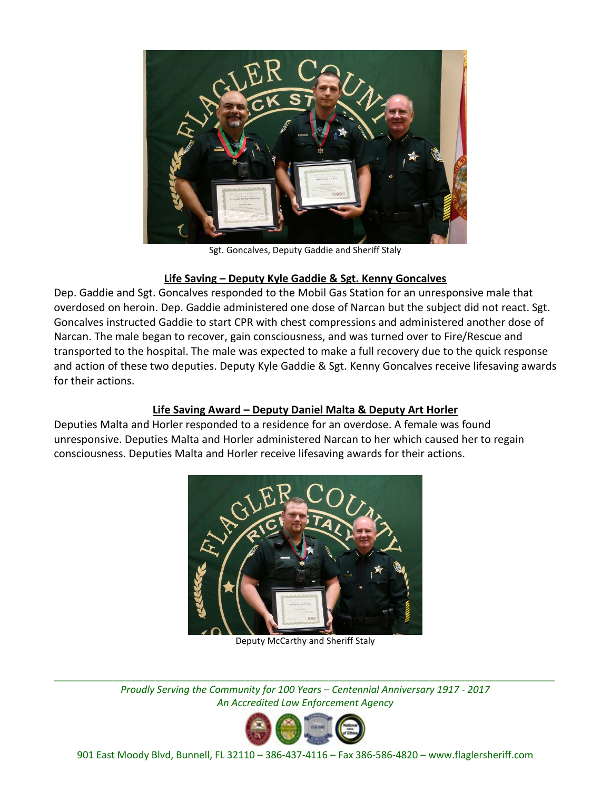

Sgt. Goncalves, Deputy Gaddie and Sheriff Staly

#### **Life Saving – Deputy Kyle Gaddie & Sgt. Kenny Goncalves**

Dep. Gaddie and Sgt. Goncalves responded to the Mobil Gas Station for an unresponsive male that overdosed on heroin. Dep. Gaddie administered one dose of Narcan but the subject did not react. Sgt. Goncalves instructed Gaddie to start CPR with chest compressions and administered another dose of Narcan. The male began to recover, gain consciousness, and was turned over to Fire/Rescue and transported to the hospital. The male was expected to make a full recovery due to the quick response and action of these two deputies. Deputy Kyle Gaddie & Sgt. Kenny Goncalves receive lifesaving awards for their actions.

#### **Life Saving Award – Deputy Daniel Malta & Deputy Art Horler**

Deputies Malta and Horler responded to a residence for an overdose. A female was found unresponsive. Deputies Malta and Horler administered Narcan to her which caused her to regain consciousness. Deputies Malta and Horler receive lifesaving awards for their actions.



Deputy McCarthy and Sheriff Staly

*\_\_\_\_\_\_\_\_\_\_\_\_\_\_\_\_\_\_\_\_\_\_\_\_\_\_\_\_\_\_\_\_\_\_\_\_\_\_\_\_\_\_\_\_\_\_\_\_\_\_\_\_\_\_\_\_\_\_\_\_\_\_\_\_\_\_\_\_\_\_\_\_\_\_\_\_\_\_\_\_\_\_\_\_ Proudly Serving the Community for 100 Years – Centennial Anniversary 1917 - 2017 An Accredited Law Enforcement Agency*

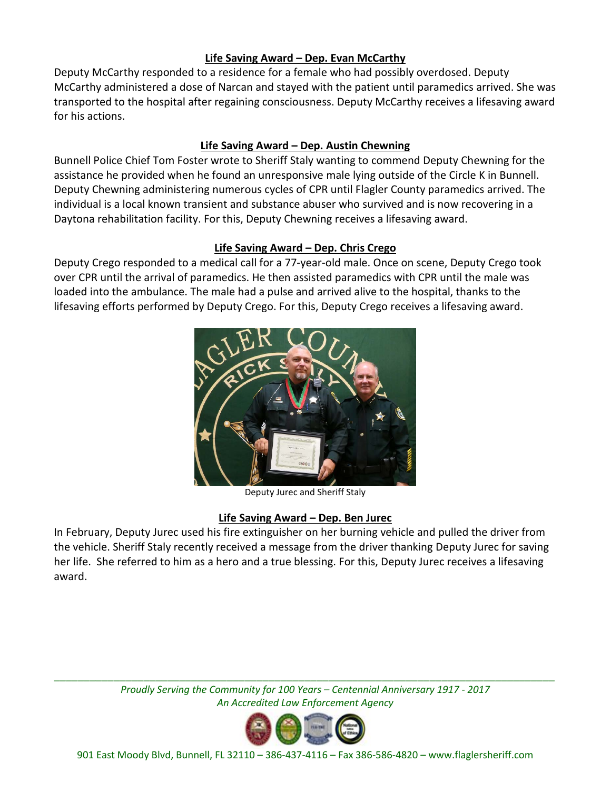#### **Life Saving Award – Dep. Evan McCarthy**

Deputy McCarthy responded to a residence for a female who had possibly overdosed. Deputy McCarthy administered a dose of Narcan and stayed with the patient until paramedics arrived. She was transported to the hospital after regaining consciousness. Deputy McCarthy receives a lifesaving award for his actions.

#### **Life Saving Award – Dep. Austin Chewning**

Bunnell Police Chief Tom Foster wrote to Sheriff Staly wanting to commend Deputy Chewning for the assistance he provided when he found an unresponsive male lying outside of the Circle K in Bunnell. Deputy Chewning administering numerous cycles of CPR until Flagler County paramedics arrived. The individual is a local known transient and substance abuser who survived and is now recovering in a Daytona rehabilitation facility. For this, Deputy Chewning receives a lifesaving award.

#### **Life Saving Award – Dep. Chris Crego**

Deputy Crego responded to a medical call for a 77-year-old male. Once on scene, Deputy Crego took over CPR until the arrival of paramedics. He then assisted paramedics with CPR until the male was loaded into the ambulance. The male had a pulse and arrived alive to the hospital, thanks to the lifesaving efforts performed by Deputy Crego. For this, Deputy Crego receives a lifesaving award.



Deputy Jurec and Sheriff Staly

#### **Life Saving Award – Dep. Ben Jurec**

In February, Deputy Jurec used his fire extinguisher on her burning vehicle and pulled the driver from the vehicle. Sheriff Staly recently received a message from the driver thanking Deputy Jurec for saving her life. She referred to him as a hero and a true blessing. For this, Deputy Jurec receives a lifesaving award.

*\_\_\_\_\_\_\_\_\_\_\_\_\_\_\_\_\_\_\_\_\_\_\_\_\_\_\_\_\_\_\_\_\_\_\_\_\_\_\_\_\_\_\_\_\_\_\_\_\_\_\_\_\_\_\_\_\_\_\_\_\_\_\_\_\_\_\_\_\_\_\_\_\_\_\_\_\_\_\_\_\_\_\_\_ Proudly Serving the Community for 100 Years – Centennial Anniversary 1917 - 2017 An Accredited Law Enforcement Agency*

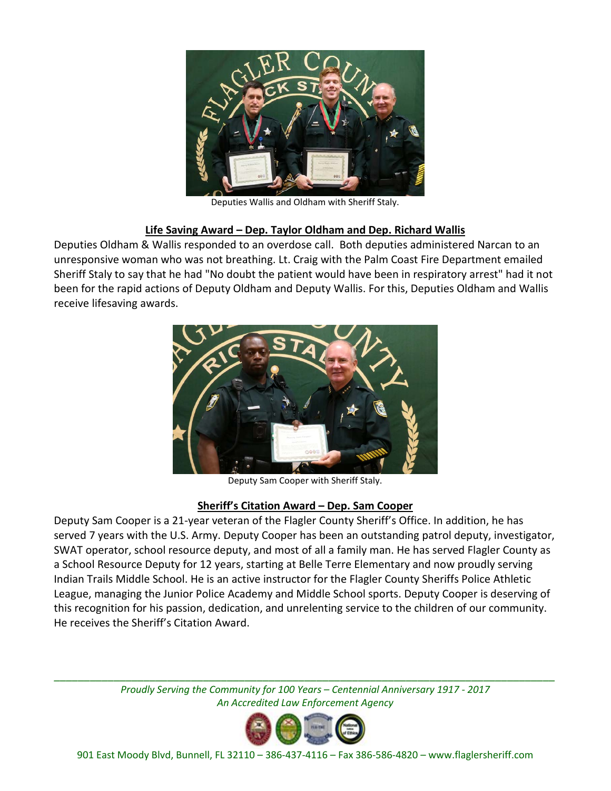

Deputies Wallis and Oldham with Sheriff Staly.

#### **Life Saving Award – Dep. Taylor Oldham and Dep. Richard Wallis**

Deputies Oldham & Wallis responded to an overdose call. Both deputies administered Narcan to an unresponsive woman who was not breathing. Lt. Craig with the Palm Coast Fire Department emailed Sheriff Staly to say that he had "No doubt the patient would have been in respiratory arrest" had it not been for the rapid actions of Deputy Oldham and Deputy Wallis. For this, Deputies Oldham and Wallis receive lifesaving awards.



Deputy Sam Cooper with Sheriff Staly.

#### **Sheriff's Citation Award – Dep. Sam Cooper**

Deputy Sam Cooper is a 21-year veteran of the Flagler County Sheriff's Office. In addition, he has served 7 years with the U.S. Army. Deputy Cooper has been an outstanding patrol deputy, investigator, SWAT operator, school resource deputy, and most of all a family man. He has served Flagler County as a School Resource Deputy for 12 years, starting at Belle Terre Elementary and now proudly serving Indian Trails Middle School. He is an active instructor for the Flagler County Sheriffs Police Athletic League, managing the Junior Police Academy and Middle School sports. Deputy Cooper is deserving of this recognition for his passion, dedication, and unrelenting service to the children of our community. He receives the Sheriff's Citation Award.

*\_\_\_\_\_\_\_\_\_\_\_\_\_\_\_\_\_\_\_\_\_\_\_\_\_\_\_\_\_\_\_\_\_\_\_\_\_\_\_\_\_\_\_\_\_\_\_\_\_\_\_\_\_\_\_\_\_\_\_\_\_\_\_\_\_\_\_\_\_\_\_\_\_\_\_\_\_\_\_\_\_\_\_\_ Proudly Serving the Community for 100 Years – Centennial Anniversary 1917 - 2017 An Accredited Law Enforcement Agency*

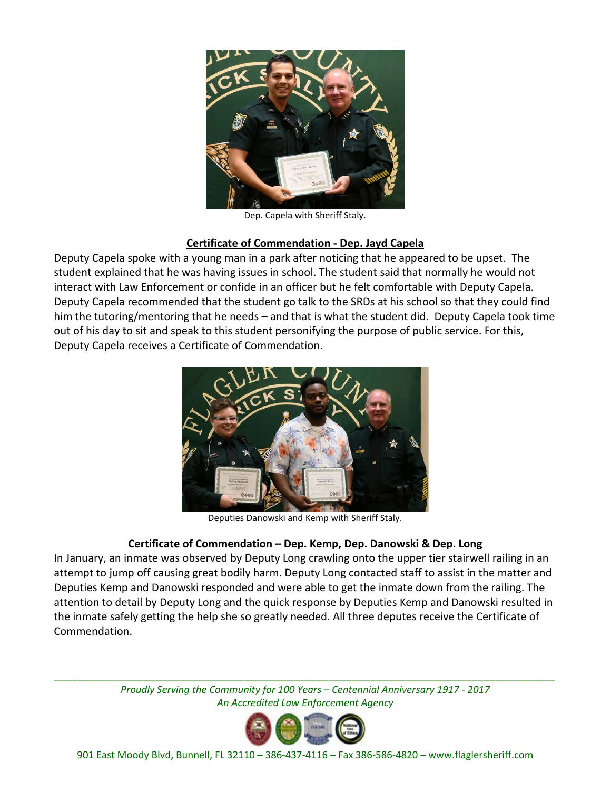

Dep. Capela with Sheriff Staly.

#### **Certificate of Commendation - Dep. Jayd Capela**

Deputy Capela spoke with a young man in a park after noticing that he appeared to be upset. The student explained that he was having issues in school. The student said that normally he would not interact with Law Enforcement or confide in an officer but he felt comfortable with Deputy Capela. Deputy Capela recommended that the student go talk to the SRDs at his school so that they could find him the tutoring/mentoring that he needs – and that is what the student did. Deputy Capela took time out of his day to sit and speak to this student personifying the purpose of public service. For this, Deputy Capela receives a Certificate of Commendation.



Deputies Danowski and Kemp with Sheriff Staly.

#### **Certificate of Commendation – Dep. Kemp, Dep. Danowski & Dep. Long**

In January, an inmate was observed by Deputy Long crawling onto the upper tier stairwell railing in an attempt to jump off causing great bodily harm. Deputy Long contacted staff to assist in the matter and Deputies Kemp and Danowski responded and were able to get the inmate down from the railing. The attention to detail by Deputy Long and the quick response by Deputies Kemp and Danowski resulted in the inmate safely getting the help she so greatly needed. All three deputes receive the Certificate of Commendation.

*\_\_\_\_\_\_\_\_\_\_\_\_\_\_\_\_\_\_\_\_\_\_\_\_\_\_\_\_\_\_\_\_\_\_\_\_\_\_\_\_\_\_\_\_\_\_\_\_\_\_\_\_\_\_\_\_\_\_\_\_\_\_\_\_\_\_\_\_\_\_\_\_\_\_\_\_\_\_\_\_\_\_\_\_ Proudly Serving the Community for 100 Years – Centennial Anniversary 1917 - 2017 An Accredited Law Enforcement Agency*

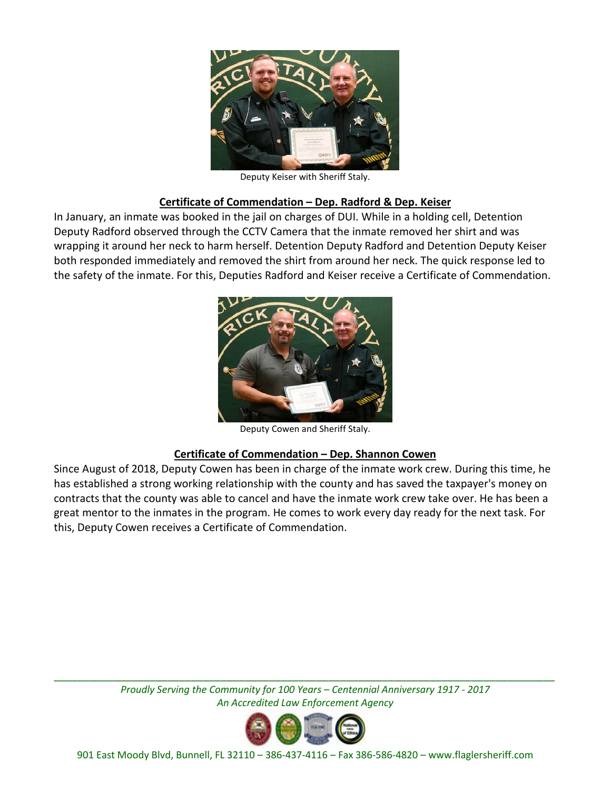

Deputy Keiser with Sheriff Staly.

#### **Certificate of Commendation – Dep. Radford & Dep. Keiser**

In January, an inmate was booked in the jail on charges of DUI. While in a holding cell, Detention Deputy Radford observed through the CCTV Camera that the inmate removed her shirt and was wrapping it around her neck to harm herself. Detention Deputy Radford and Detention Deputy Keiser both responded immediately and removed the shirt from around her neck. The quick response led to the safety of the inmate. For this, Deputies Radford and Keiser receive a Certificate of Commendation.



Deputy Cowen and Sheriff Staly.

#### **Certificate of Commendation – Dep. Shannon Cowen**

Since August of 2018, Deputy Cowen has been in charge of the inmate work crew. During this time, he has established a strong working relationship with the county and has saved the taxpayer's money on contracts that the county was able to cancel and have the inmate work crew take over. He has been a great mentor to the inmates in the program. He comes to work every day ready for the next task. For this, Deputy Cowen receives a Certificate of Commendation.

> *Proudly Serving the Community for 100 Years – Centennial Anniversary 1917 - 2017 An Accredited Law Enforcement Agency*

*\_\_\_\_\_\_\_\_\_\_\_\_\_\_\_\_\_\_\_\_\_\_\_\_\_\_\_\_\_\_\_\_\_\_\_\_\_\_\_\_\_\_\_\_\_\_\_\_\_\_\_\_\_\_\_\_\_\_\_\_\_\_\_\_\_\_\_\_\_\_\_\_\_\_\_\_\_\_\_\_\_\_\_\_*

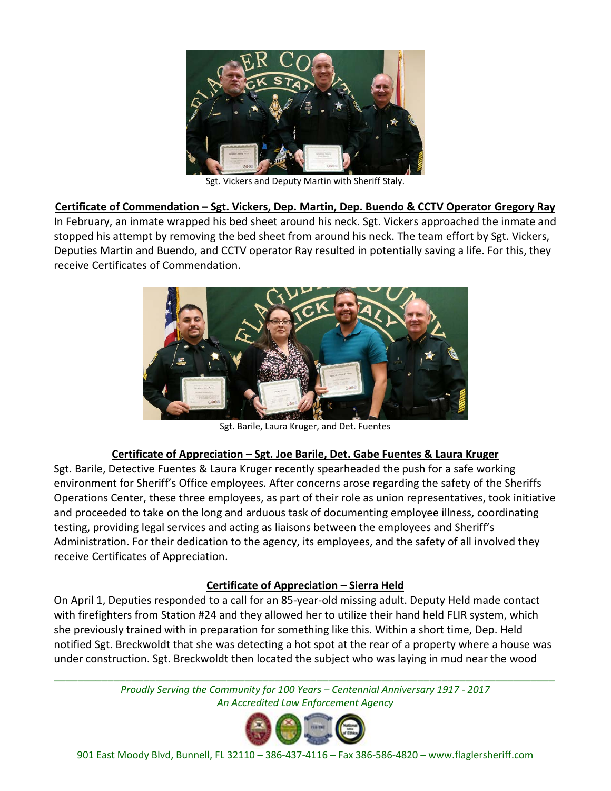

Sgt. Vickers and Deputy Martin with Sheriff Staly.

**Certificate of Commendation – Sgt. Vickers, Dep. Martin, Dep. Buendo & CCTV Operator Gregory Ray**

In February, an inmate wrapped his bed sheet around his neck. Sgt. Vickers approached the inmate and stopped his attempt by removing the bed sheet from around his neck. The team effort by Sgt. Vickers, Deputies Martin and Buendo, and CCTV operator Ray resulted in potentially saving a life. For this, they receive Certificates of Commendation.



Sgt. Barile, Laura Kruger, and Det. Fuentes

#### **Certificate of Appreciation – Sgt. Joe Barile, Det. Gabe Fuentes & Laura Kruger**

Sgt. Barile, Detective Fuentes & Laura Kruger recently spearheaded the push for a safe working environment for Sheriff's Office employees. After concerns arose regarding the safety of the Sheriffs Operations Center, these three employees, as part of their role as union representatives, took initiative and proceeded to take on the long and arduous task of documenting employee illness, coordinating testing, providing legal services and acting as liaisons between the employees and Sheriff's Administration. For their dedication to the agency, its employees, and the safety of all involved they receive Certificates of Appreciation.

#### **Certificate of Appreciation – Sierra Held**

On April 1, Deputies responded to a call for an 85-year-old missing adult. Deputy Held made contact with firefighters from Station #24 and they allowed her to utilize their hand held FLIR system, which she previously trained with in preparation for something like this. Within a short time, Dep. Held notified Sgt. Breckwoldt that she was detecting a hot spot at the rear of a property where a house was under construction. Sgt. Breckwoldt then located the subject who was laying in mud near the wood

> *Proudly Serving the Community for 100 Years – Centennial Anniversary 1917 - 2017 An Accredited Law Enforcement Agency*

*\_\_\_\_\_\_\_\_\_\_\_\_\_\_\_\_\_\_\_\_\_\_\_\_\_\_\_\_\_\_\_\_\_\_\_\_\_\_\_\_\_\_\_\_\_\_\_\_\_\_\_\_\_\_\_\_\_\_\_\_\_\_\_\_\_\_\_\_\_\_\_\_\_\_\_\_\_\_\_\_\_\_\_\_*

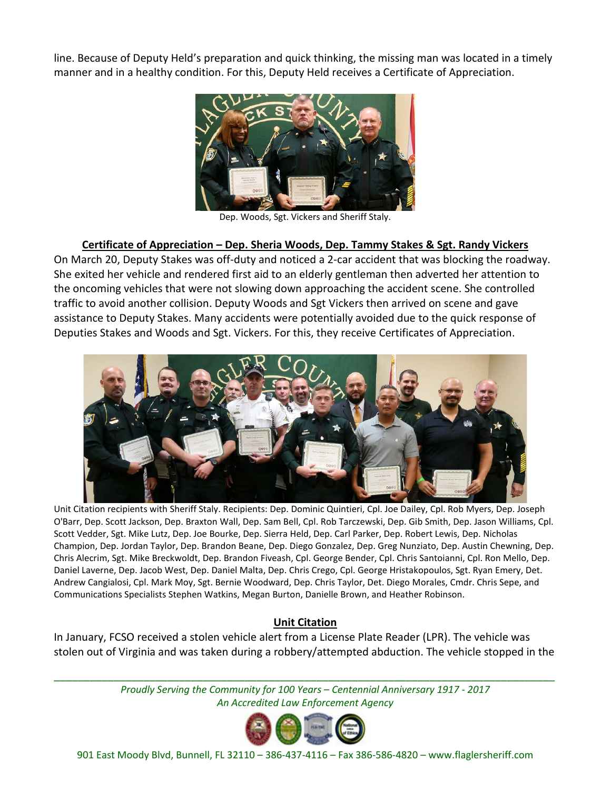line. Because of Deputy Held's preparation and quick thinking, the missing man was located in a timely manner and in a healthy condition. For this, Deputy Held receives a Certificate of Appreciation.



Dep. Woods, Sgt. Vickers and Sheriff Staly.

#### **Certificate of Appreciation – Dep. Sheria Woods, Dep. Tammy Stakes & Sgt. Randy Vickers**

On March 20, Deputy Stakes was off-duty and noticed a 2-car accident that was blocking the roadway. She exited her vehicle and rendered first aid to an elderly gentleman then adverted her attention to the oncoming vehicles that were not slowing down approaching the accident scene. She controlled traffic to avoid another collision. Deputy Woods and Sgt Vickers then arrived on scene and gave assistance to Deputy Stakes. Many accidents were potentially avoided due to the quick response of Deputies Stakes and Woods and Sgt. Vickers. For this, they receive Certificates of Appreciation.



Unit Citation recipients with Sheriff Staly. Recipients: Dep. Dominic Quintieri, Cpl. Joe Dailey, Cpl. Rob Myers, Dep. Joseph O'Barr, Dep. Scott Jackson, Dep. Braxton Wall, Dep. Sam Bell, Cpl. Rob Tarczewski, Dep. Gib Smith, Dep. Jason Williams, Cpl. Scott Vedder, Sgt. Mike Lutz, Dep. Joe Bourke, Dep. Sierra Held, Dep. Carl Parker, Dep. Robert Lewis, Dep. Nicholas Champion, Dep. Jordan Taylor, Dep. Brandon Beane, Dep. Diego Gonzalez, Dep. Greg Nunziato, Dep. Austin Chewning, Dep. Chris Alecrim, Sgt. Mike Breckwoldt, Dep. Brandon Fiveash, Cpl. George Bender, Cpl. Chris Santoianni, Cpl. Ron Mello, Dep. Daniel Laverne, Dep. Jacob West, Dep. Daniel Malta, Dep. Chris Crego, Cpl. George Hristakopoulos, Sgt. Ryan Emery, Det. Andrew Cangialosi, Cpl. Mark Moy, Sgt. Bernie Woodward, Dep. Chris Taylor, Det. Diego Morales, Cmdr. Chris Sepe, and Communications Specialists Stephen Watkins, Megan Burton, Danielle Brown, and Heather Robinson.

#### **Unit Citation**

In January, FCSO received a stolen vehicle alert from a License Plate Reader (LPR). The vehicle was stolen out of Virginia and was taken during a robbery/attempted abduction. The vehicle stopped in the

*\_\_\_\_\_\_\_\_\_\_\_\_\_\_\_\_\_\_\_\_\_\_\_\_\_\_\_\_\_\_\_\_\_\_\_\_\_\_\_\_\_\_\_\_\_\_\_\_\_\_\_\_\_\_\_\_\_\_\_\_\_\_\_\_\_\_\_\_\_\_\_\_\_\_\_\_\_\_\_\_\_\_\_\_ Proudly Serving the Community for 100 Years – Centennial Anniversary 1917 - 2017 An Accredited Law Enforcement Agency*